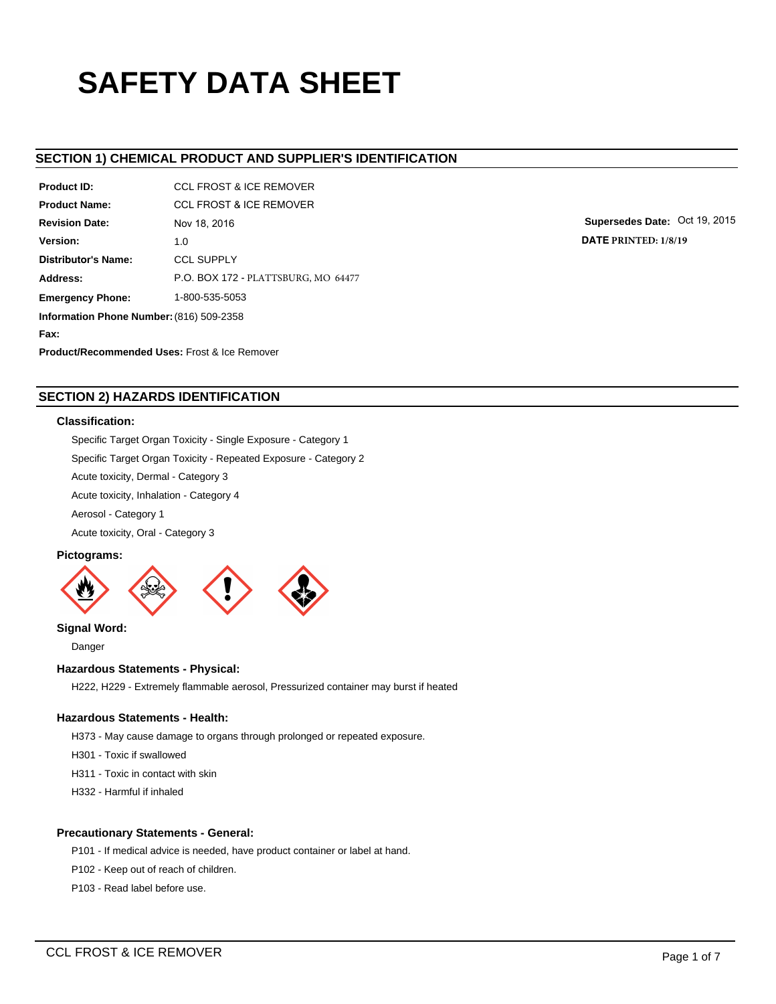# **SAFETY DATA SHEET**

# **SECTION 1) CHEMICAL PRODUCT AND SUPPLIER'S IDENTIFICATION**

| Product ID:                                              | <b>CCL FROST &amp; ICE REMOVER</b>  |  |  |  |  |
|----------------------------------------------------------|-------------------------------------|--|--|--|--|
| <b>Product Name:</b>                                     | <b>CCL FROST &amp; ICE REMOVER</b>  |  |  |  |  |
| <b>Revision Date:</b>                                    | Nov 18, 2016                        |  |  |  |  |
| Version:                                                 | 1.0                                 |  |  |  |  |
| Distributor's Name:                                      | <b>CCL SUPPLY</b>                   |  |  |  |  |
| Address:                                                 | P.O. BOX 172 - PLATTSBURG, MO 64477 |  |  |  |  |
| 1-800-535-5053<br><b>Emergency Phone:</b>                |                                     |  |  |  |  |
| Information Phone Number: (816) 509-2358                 |                                     |  |  |  |  |
| Fax:                                                     |                                     |  |  |  |  |
| <b>Product/Recommended Uses: Frost &amp; Ice Remover</b> |                                     |  |  |  |  |

**Supersedes Date:** Oct 19, 2015 **DATE PRINTED: 1/8/19**

# **SECTION 2) HAZARDS IDENTIFICATION**

## **Classification:**

Specific Target Organ Toxicity - Single Exposure - Category 1

Specific Target Organ Toxicity - Repeated Exposure - Category 2

Acute toxicity, Dermal - Category 3

Acute toxicity, Inhalation - Category 4

Aerosol - Category 1

Acute toxicity, Oral - Category 3

## **Pictograms:**



**Signal Word:**

Danger

# **Hazardous Statements - Physical:**

H222, H229 - Extremely flammable aerosol, Pressurized container may burst if heated

## **Hazardous Statements - Health:**

H373 - May cause damage to organs through prolonged or repeated exposure.

- H301 Toxic if swallowed
- H311 Toxic in contact with skin
- H332 Harmful if inhaled

## **Precautionary Statements - General:**

P101 - If medical advice is needed, have product container or label at hand.

- P102 Keep out of reach of children.
- P103 Read label before use.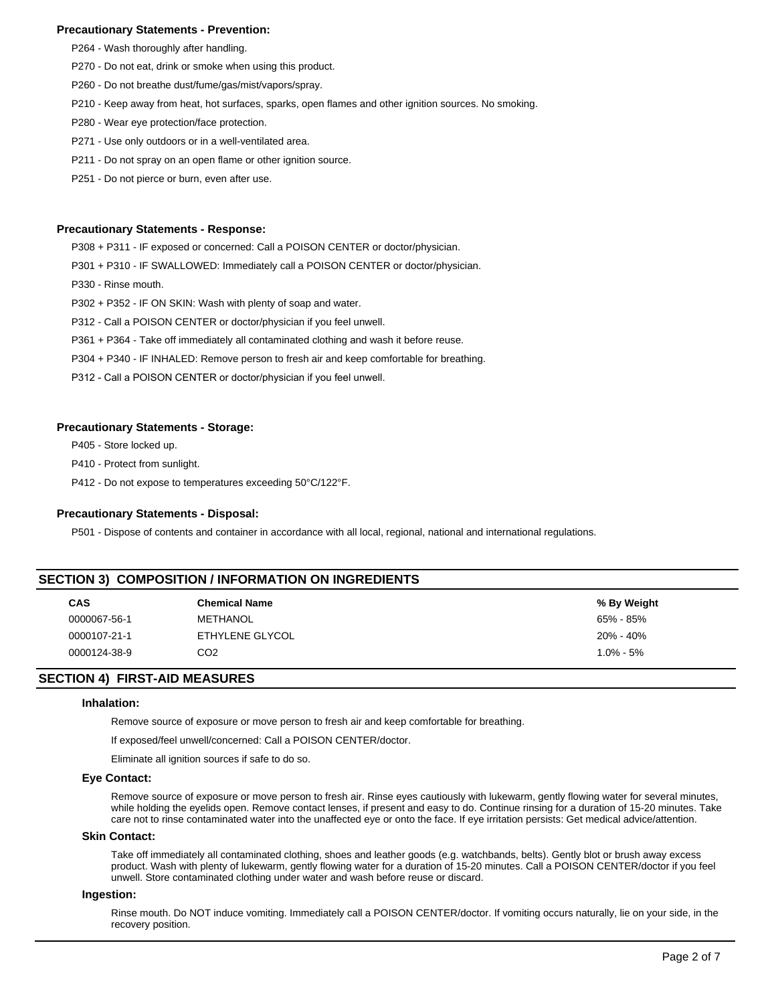## **Precautionary Statements - Prevention:**

- P264 Wash thoroughly after handling.
- P270 Do not eat, drink or smoke when using this product.
- P260 Do not breathe dust/fume/gas/mist/vapors/spray.
- P210 Keep away from heat, hot surfaces, sparks, open flames and other ignition sources. No smoking.
- P280 Wear eye protection/face protection.
- P271 Use only outdoors or in a well-ventilated area.
- P211 Do not spray on an open flame or other ignition source.
- P251 Do not pierce or burn, even after use.

## **Precautionary Statements - Response:**

P308 + P311 - IF exposed or concerned: Call a POISON CENTER or doctor/physician.

- P301 + P310 IF SWALLOWED: Immediately call a POISON CENTER or doctor/physician.
- P330 Rinse mouth.
- P302 + P352 IF ON SKIN: Wash with plenty of soap and water.
- P312 Call a POISON CENTER or doctor/physician if you feel unwell.
- P361 + P364 Take off immediately all contaminated clothing and wash it before reuse.
- P304 + P340 IF INHALED: Remove person to fresh air and keep comfortable for breathing.
- P312 Call a POISON CENTER or doctor/physician if you feel unwell.

#### **Precautionary Statements - Storage:**

P405 - Store locked up.

P410 - Protect from sunlight.

P412 - Do not expose to temperatures exceeding 50°C/122°F.

#### **Precautionary Statements - Disposal:**

P501 - Dispose of contents and container in accordance with all local, regional, national and international regulations.

| SECTION 3) COMPOSITION / INFORMATION ON INGREDIENTS |                      |               |  |  |  |
|-----------------------------------------------------|----------------------|---------------|--|--|--|
| <b>CAS</b>                                          | <b>Chemical Name</b> | % By Weight   |  |  |  |
| 0000067-56-1                                        | METHANOL             | 65% - 85%     |  |  |  |
| 0000107-21-1                                        | ETHYLENE GLYCOL      | 20% - 40%     |  |  |  |
| 0000124-38-9                                        | CO <sub>2</sub>      | $1.0\% - 5\%$ |  |  |  |
|                                                     |                      |               |  |  |  |

## **SECTION 4) FIRST-AID MEASURES**

#### **Inhalation:**

Remove source of exposure or move person to fresh air and keep comfortable for breathing.

If exposed/feel unwell/concerned: Call a POISON CENTER/doctor.

Eliminate all ignition sources if safe to do so.

#### **Eye Contact:**

Remove source of exposure or move person to fresh air. Rinse eyes cautiously with lukewarm, gently flowing water for several minutes, while holding the eyelids open. Remove contact lenses, if present and easy to do. Continue rinsing for a duration of 15-20 minutes. Take care not to rinse contaminated water into the unaffected eye or onto the face. If eye irritation persists: Get medical advice/attention.

## **Skin Contact:**

Take off immediately all contaminated clothing, shoes and leather goods (e.g. watchbands, belts). Gently blot or brush away excess product. Wash with plenty of lukewarm, gently flowing water for a duration of 15-20 minutes. Call a POISON CENTER/doctor if you feel unwell. Store contaminated clothing under water and wash before reuse or discard.

## **Ingestion:**

Rinse mouth. Do NOT induce vomiting. Immediately call a POISON CENTER/doctor. If vomiting occurs naturally, lie on your side, in the recovery position.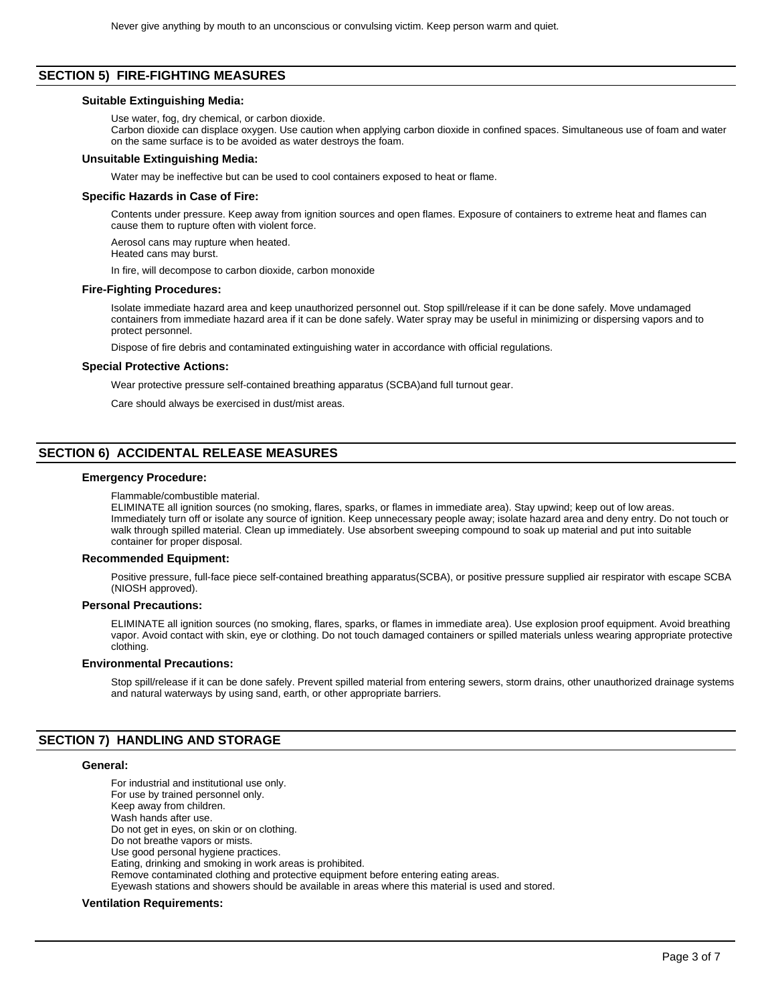## **SECTION 5) FIRE-FIGHTING MEASURES**

#### **Suitable Extinguishing Media:**

Use water, fog, dry chemical, or carbon dioxide.

Carbon dioxide can displace oxygen. Use caution when applying carbon dioxide in confined spaces. Simultaneous use of foam and water on the same surface is to be avoided as water destroys the foam.

#### **Unsuitable Extinguishing Media:**

Water may be ineffective but can be used to cool containers exposed to heat or flame.

## **Specific Hazards in Case of Fire:**

Contents under pressure. Keep away from ignition sources and open flames. Exposure of containers to extreme heat and flames can cause them to rupture often with violent force.

Aerosol cans may rupture when heated.

Heated cans may burst.

In fire, will decompose to carbon dioxide, carbon monoxide

#### **Fire-Fighting Procedures:**

Isolate immediate hazard area and keep unauthorized personnel out. Stop spill/release if it can be done safely. Move undamaged containers from immediate hazard area if it can be done safely. Water spray may be useful in minimizing or dispersing vapors and to protect personnel.

Dispose of fire debris and contaminated extinguishing water in accordance with official regulations.

## **Special Protective Actions:**

Wear protective pressure self-contained breathing apparatus (SCBA)and full turnout gear.

Care should always be exercised in dust/mist areas.

# **SECTION 6) ACCIDENTAL RELEASE MEASURES**

## **Emergency Procedure:**

Flammable/combustible material.

ELIMINATE all ignition sources (no smoking, flares, sparks, or flames in immediate area). Stay upwind; keep out of low areas. Immediately turn off or isolate any source of ignition. Keep unnecessary people away; isolate hazard area and deny entry. Do not touch or walk through spilled material. Clean up immediately. Use absorbent sweeping compound to soak up material and put into suitable container for proper disposal.

#### **Recommended Equipment:**

Positive pressure, full-face piece self-contained breathing apparatus(SCBA), or positive pressure supplied air respirator with escape SCBA (NIOSH approved).

## **Personal Precautions:**

ELIMINATE all ignition sources (no smoking, flares, sparks, or flames in immediate area). Use explosion proof equipment. Avoid breathing vapor. Avoid contact with skin, eye or clothing. Do not touch damaged containers or spilled materials unless wearing appropriate protective clothing.

#### **Environmental Precautions:**

Stop spill/release if it can be done safely. Prevent spilled material from entering sewers, storm drains, other unauthorized drainage systems and natural waterways by using sand, earth, or other appropriate barriers.

## **SECTION 7) HANDLING AND STORAGE**

#### **General:**

For industrial and institutional use only. For use by trained personnel only. Keep away from children. Wash hands after use. Do not get in eyes, on skin or on clothing. Do not breathe vapors or mists. Use good personal hygiene practices. Eating, drinking and smoking in work areas is prohibited. Remove contaminated clothing and protective equipment before entering eating areas. Eyewash stations and showers should be available in areas where this material is used and stored.

## **Ventilation Requirements:**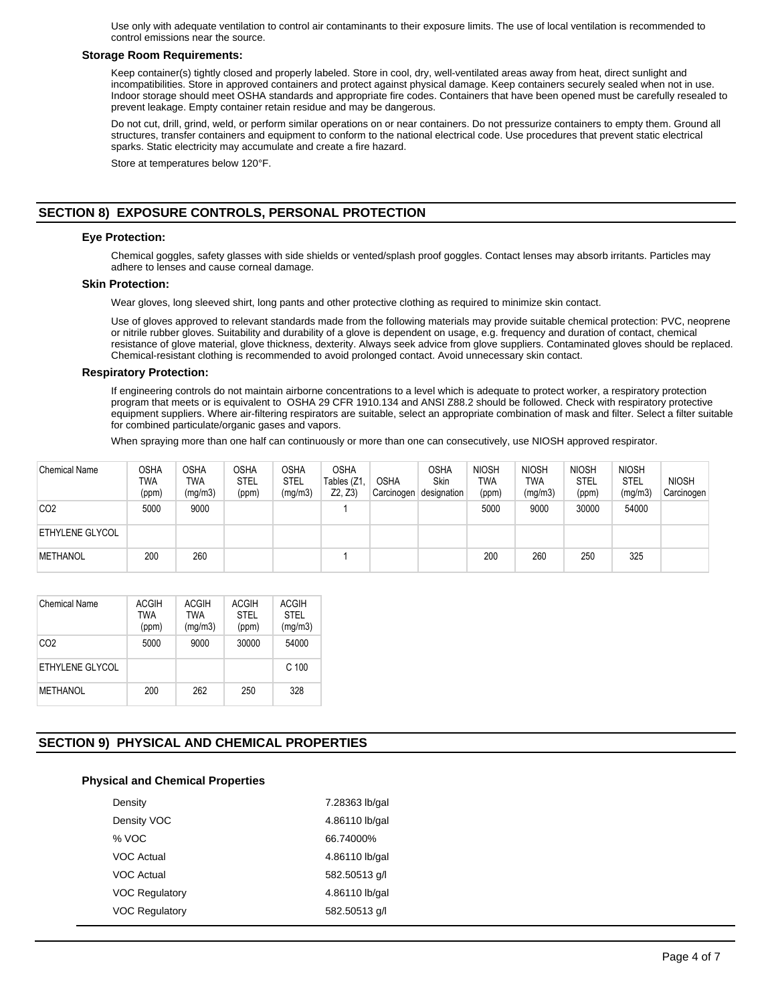Use only with adequate ventilation to control air contaminants to their exposure limits. The use of local ventilation is recommended to control emissions near the source.

## **Storage Room Requirements:**

Keep container(s) tightly closed and properly labeled. Store in cool, dry, well-ventilated areas away from heat, direct sunlight and incompatibilities. Store in approved containers and protect against physical damage. Keep containers securely sealed when not in use. Indoor storage should meet OSHA standards and appropriate fire codes. Containers that have been opened must be carefully resealed to prevent leakage. Empty container retain residue and may be dangerous.

Do not cut, drill, grind, weld, or perform similar operations on or near containers. Do not pressurize containers to empty them. Ground all structures, transfer containers and equipment to conform to the national electrical code. Use procedures that prevent static electrical sparks. Static electricity may accumulate and create a fire hazard.

Store at temperatures below 120°F.

# **SECTION 8) EXPOSURE CONTROLS, PERSONAL PROTECTION**

## **Eye Protection:**

Chemical goggles, safety glasses with side shields or vented/splash proof goggles. Contact lenses may absorb irritants. Particles may adhere to lenses and cause corneal damage.

## **Skin Protection:**

Wear gloves, long sleeved shirt, long pants and other protective clothing as required to minimize skin contact.

Use of gloves approved to relevant standards made from the following materials may provide suitable chemical protection: PVC, neoprene or nitrile rubber gloves. Suitability and durability of a glove is dependent on usage, e.g. frequency and duration of contact, chemical resistance of glove material, glove thickness, dexterity. Always seek advice from glove suppliers. Contaminated gloves should be replaced. Chemical-resistant clothing is recommended to avoid prolonged contact. Avoid unnecessary skin contact.

## **Respiratory Protection:**

If engineering controls do not maintain airborne concentrations to a level which is adequate to protect worker, a respiratory protection program that meets or is equivalent to OSHA 29 CFR 1910.134 and ANSI Z88.2 should be followed. Check with respiratory protective equipment suppliers. Where air-filtering respirators are suitable, select an appropriate combination of mask and filter. Select a filter suitable for combined particulate/organic gases and vapors.

When spraying more than one half can continuously or more than one can consecutively, use NIOSH approved respirator.

| <b>Chemical Name</b>   | <b>OSHA</b><br>TWA<br>(ppm) | OSHA<br>TWA<br>(mg/m3) | <b>OSHA</b><br><b>STEL</b><br>(ppm) | <b>OSHA</b><br><b>STEL</b><br>(mg/m3) | <b>OSHA</b><br>Tables (Z1<br>Z2, Z3 | <b>OSHA</b><br>Carcinogen | <b>OSHA</b><br>Skin<br>designation | <b>NIOSH</b><br><b>TWA</b><br>(ppm) | <b>NIOSH</b><br>TWA<br>(mg/m3) | <b>NIOSH</b><br><b>STEL</b><br>(ppm) | <b>NIOSH</b><br><b>STEL</b><br>(mg/m3) | <b>NIOSH</b><br>Carcinogen |
|------------------------|-----------------------------|------------------------|-------------------------------------|---------------------------------------|-------------------------------------|---------------------------|------------------------------------|-------------------------------------|--------------------------------|--------------------------------------|----------------------------------------|----------------------------|
| CO <sub>2</sub>        | 5000                        | 9000                   |                                     |                                       |                                     |                           |                                    | 5000                                | 9000                           | 30000                                | 54000                                  |                            |
| <b>ETHYLENE GLYCOL</b> |                             |                        |                                     |                                       |                                     |                           |                                    |                                     |                                |                                      |                                        |                            |
| <b>METHANOL</b>        | 200                         | 260                    |                                     |                                       |                                     |                           |                                    | 200                                 | 260                            | 250                                  | 325                                    |                            |

| Chemical Name   | <b>ACGIH</b><br><b>TWA</b><br>(ppm) | <b>ACGIH</b><br><b>TWA</b><br>(mg/m3) | <b>ACGIH</b><br>STFI<br>(ppm) | <b>ACGIH</b><br><b>STEL</b><br>(mg/m3) |
|-----------------|-------------------------------------|---------------------------------------|-------------------------------|----------------------------------------|
| CO <sub>2</sub> | 5000                                | 9000                                  | 30000                         | 54000                                  |
| ETHYLENE GLYCOL |                                     |                                       |                               | C <sub>100</sub>                       |
| <b>METHANOL</b> | 200                                 | 262                                   | 250                           | 328                                    |

# **SECTION 9) PHYSICAL AND CHEMICAL PROPERTIES**

## **Physical and Chemical Properties**

| Density               | 7.28363 lb/gal |
|-----------------------|----------------|
| Density VOC           | 4.86110 lb/gal |
| % VOC                 | 66.74000%      |
| VOC Actual            | 4.86110 lb/gal |
| VOC Actual            | 582.50513 g/l  |
| <b>VOC Regulatory</b> | 4.86110 lb/gal |
| <b>VOC Regulatory</b> | 582.50513 g/l  |
|                       |                |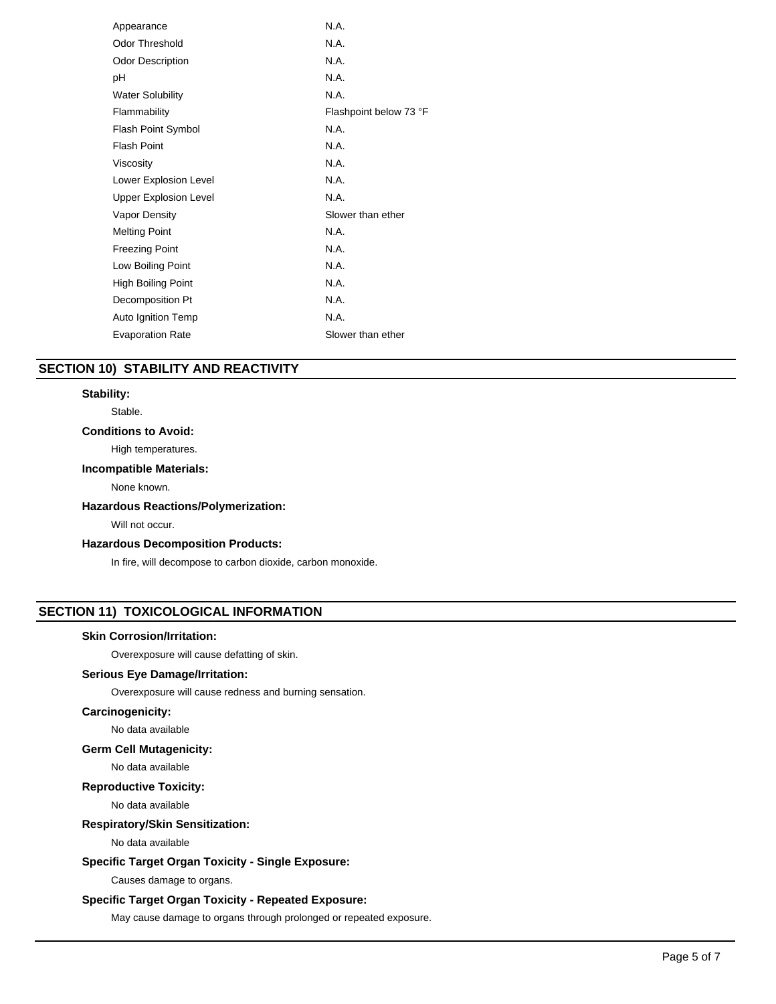| Appearance                   | N.A.                   |
|------------------------------|------------------------|
| Odor Threshold               | N.A.                   |
| <b>Odor Description</b>      | N.A.                   |
| рH                           | N.A.                   |
| <b>Water Solubility</b>      | N.A.                   |
| Flammability                 | Flashpoint below 73 °F |
| <b>Flash Point Symbol</b>    | N.A.                   |
| <b>Flash Point</b>           | N.A.                   |
| Viscosity                    | N.A.                   |
| Lower Explosion Level        | N.A.                   |
| <b>Upper Explosion Level</b> | N.A.                   |
| Vapor Density                | Slower than ether      |
| <b>Melting Point</b>         | N.A.                   |
| <b>Freezing Point</b>        | N.A.                   |
| Low Boiling Point            | N.A.                   |
| High Boiling Point           | N.A.                   |
| Decomposition Pt             | N.A.                   |
| Auto Ignition Temp           | N.A.                   |
| <b>Evaporation Rate</b>      | Slower than ether      |
|                              |                        |

# **SECTION 10) STABILITY AND REACTIVITY**

## **Stability:**

Stable.

## **Conditions to Avoid:**

High temperatures.

## **Incompatible Materials:**

None known.

## **Hazardous Reactions/Polymerization:**

Will not occur.

## **Hazardous Decomposition Products:**

In fire, will decompose to carbon dioxide, carbon monoxide.

# **SECTION 11) TOXICOLOGICAL INFORMATION**

## **Skin Corrosion/Irritation:**

Overexposure will cause defatting of skin.

## **Serious Eye Damage/Irritation:**

Overexposure will cause redness and burning sensation.

## **Carcinogenicity:**

No data available

## **Germ Cell Mutagenicity:**

No data available

## **Reproductive Toxicity:**

No data available

# **Respiratory/Skin Sensitization:**

No data available

## **Specific Target Organ Toxicity - Single Exposure:**

Causes damage to organs.

## **Specific Target Organ Toxicity - Repeated Exposure:**

May cause damage to organs through prolonged or repeated exposure.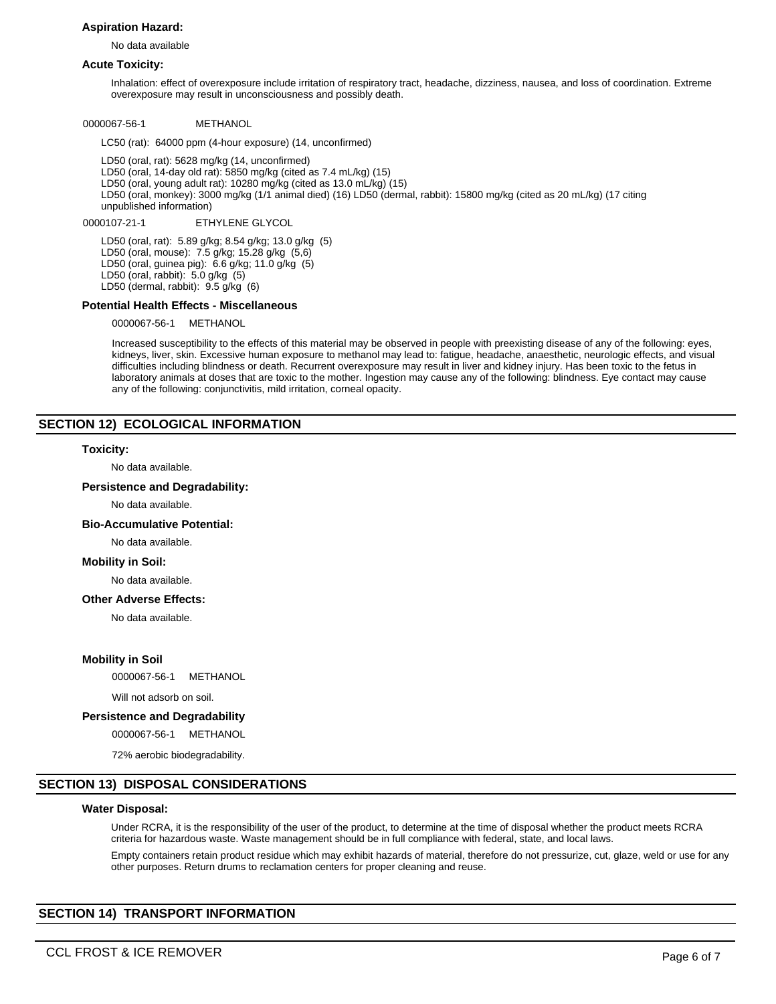## **Aspiration Hazard:**

No data available

## **Acute Toxicity:**

Inhalation: effect of overexposure include irritation of respiratory tract, headache, dizziness, nausea, and loss of coordination. Extreme overexposure may result in unconsciousness and possibly death.

0000067-56-1 METHANOL

LC50 (rat): 64000 ppm (4-hour exposure) (14, unconfirmed)

LD50 (oral, rat): 5628 mg/kg (14, unconfirmed) LD50 (oral, 14-day old rat): 5850 mg/kg (cited as 7.4 mL/kg) (15) LD50 (oral, young adult rat): 10280 mg/kg (cited as 13.0 mL/kg) (15) LD50 (oral, monkey): 3000 mg/kg (1/1 animal died) (16) LD50 (dermal, rabbit): 15800 mg/kg (cited as 20 mL/kg) (17 citing unpublished information)

0000107-21-1 ETHYLENE GLYCOL

LD50 (oral, rat): 5.89 g/kg; 8.54 g/kg; 13.0 g/kg (5) LD50 (oral, mouse): 7.5 g/kg; 15.28 g/kg (5,6) LD50 (oral, guinea pig): 6.6 g/kg; 11.0 g/kg (5) LD50 (oral, rabbit): 5.0 g/kg (5) LD50 (dermal, rabbit): 9.5 g/kg (6)

## **Potential Health Effects - Miscellaneous**

0000067-56-1 METHANOL

Increased susceptibility to the effects of this material may be observed in people with preexisting disease of any of the following: eyes, kidneys, liver, skin. Excessive human exposure to methanol may lead to: fatigue, headache, anaesthetic, neurologic effects, and visual difficulties including blindness or death. Recurrent overexposure may result in liver and kidney injury. Has been toxic to the fetus in laboratory animals at doses that are toxic to the mother. Ingestion may cause any of the following: blindness. Eye contact may cause any of the following: conjunctivitis, mild irritation, corneal opacity.

## **SECTION 12) ECOLOGICAL INFORMATION**

#### **Toxicity:**

No data available.

## **Persistence and Degradability:**

No data available.

#### **Bio-Accumulative Potential:**

No data available.

#### **Mobility in Soil:**

No data available.

## **Other Adverse Effects:**

No data available.

#### **Mobility in Soil**

0000067-56-1 METHANOL

Will not adsorb on soil.

## **Persistence and Degradability**

0000067-56-1 METHANOL

72% aerobic biodegradability.

## **SECTION 13) DISPOSAL CONSIDERATIONS**

#### **Water Disposal:**

Under RCRA, it is the responsibility of the user of the product, to determine at the time of disposal whether the product meets RCRA criteria for hazardous waste. Waste management should be in full compliance with federal, state, and local laws.

Empty containers retain product residue which may exhibit hazards of material, therefore do not pressurize, cut, glaze, weld or use for any other purposes. Return drums to reclamation centers for proper cleaning and reuse.

## **SECTION 14) TRANSPORT INFORMATION**